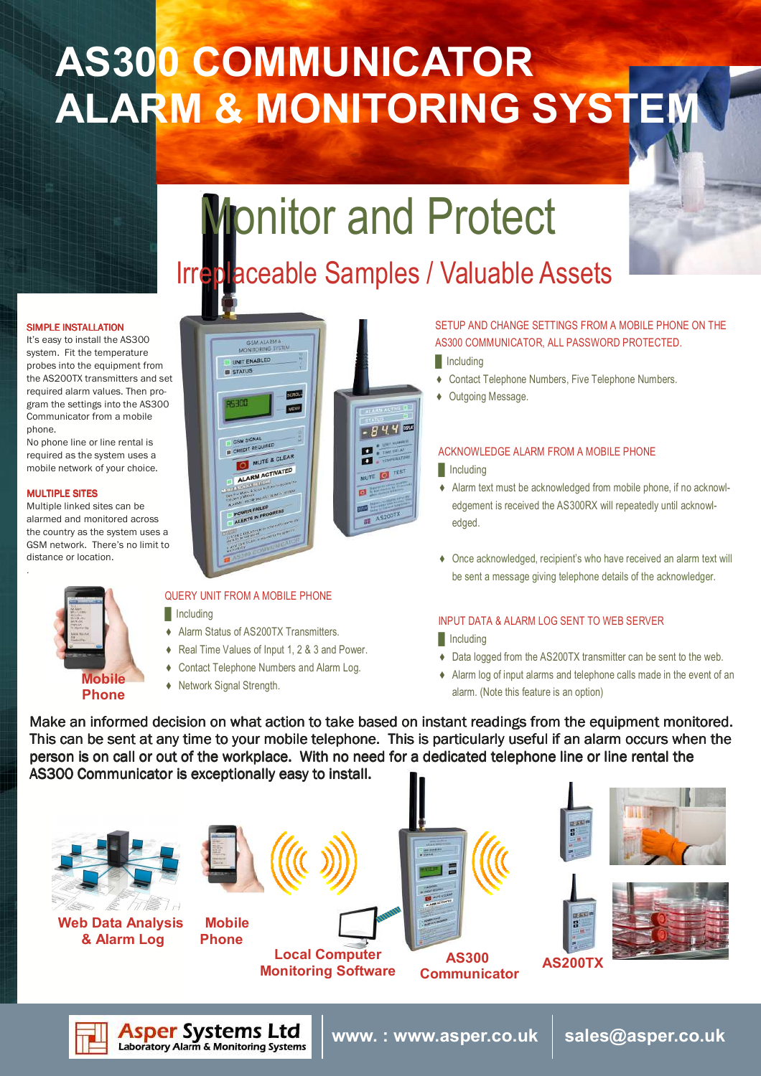## AS300 COMMUNICATOR **ALARM & MONITORING SYSTEI**

# **Monitor and Protect**

## Irreplaceable Samples / Valuable Assets

#### SIMPLE INSTALLATION

It's easy to install the AS300 system. Fit the temperature probes into the equipment from the AS200TX transmitters and set required alarm values. Then program the settings into the AS300 Communicator from a mobile phone.

No phone line or line rental is required as the system uses a mobile network of your choice.

#### **MULTIPLE SITES**

.

Multiple linked sites can be alarmed and monitored across the country as the system uses a GSM network. There's no limit to distance or location.



## GSM ALARI **MONITORING** UNIT ENABLED **STATUS**  $-844$ SM SIGI GSM SIGN g MUTE & CLEAR ALARM ACTIVATED MUTE OF TEST

## QUERY UNIT FROM A MOBILE PHONE

 $\blacksquare$  Including

- ♦ Alarm Status of AS200TX Transmitters.
- ♦ Real Time Values of Input 1, 2 & 3 and Power.
- ♦ Contact Telephone Numbers and Alarm Log.
- ♦ Network Signal Strength.

**Asper Systems Ltd**<br>Laboratory Alarm & Monitoring Systems

## SETUP AND CHANGE SETTINGS FROM A MOBILE PHONE ON THE AS300 COMMUNICATOR, ALL PASSWORD PROTECTED.

- **I**I Including
- ♦ Contact Telephone Numbers, Five Telephone Numbers.
- ♦ Outgoing Message.

## ACKNOWLEDGE ALARM FROM A MOBILE PHONE

#### **I**Including

- ♦ Alarm text must be acknowledged from mobile phone, if no acknowledgement is received the AS300RX will repeatedly until acknowledged.
- ♦ Once acknowledged, recipient's who have received an alarm text will be sent a message giving telephone details of the acknowledger.

#### INPUT DATA & ALARM LOG SENT TO WEB SERVER

www. : www.asper.co.uk  $\, \mid \,$  sales@asper.co.uk

- $\blacksquare$  Including
- ♦ Data logged from the AS200TX transmitter can be sent to the web.
- ♦ Alarm log of input alarms and telephone calls made in the event of an alarm. (Note this feature is an option)

Make an informed decision on what action to take based on instant readings from the equipment monitored. This can be sent at any time to your mobile telephone. This is particularly useful if an alarm occurs when the person is on call or out of the workplace. With no need for a dedicated telephone line or line rental the AS300 Communicator is exceptionally easy to install.

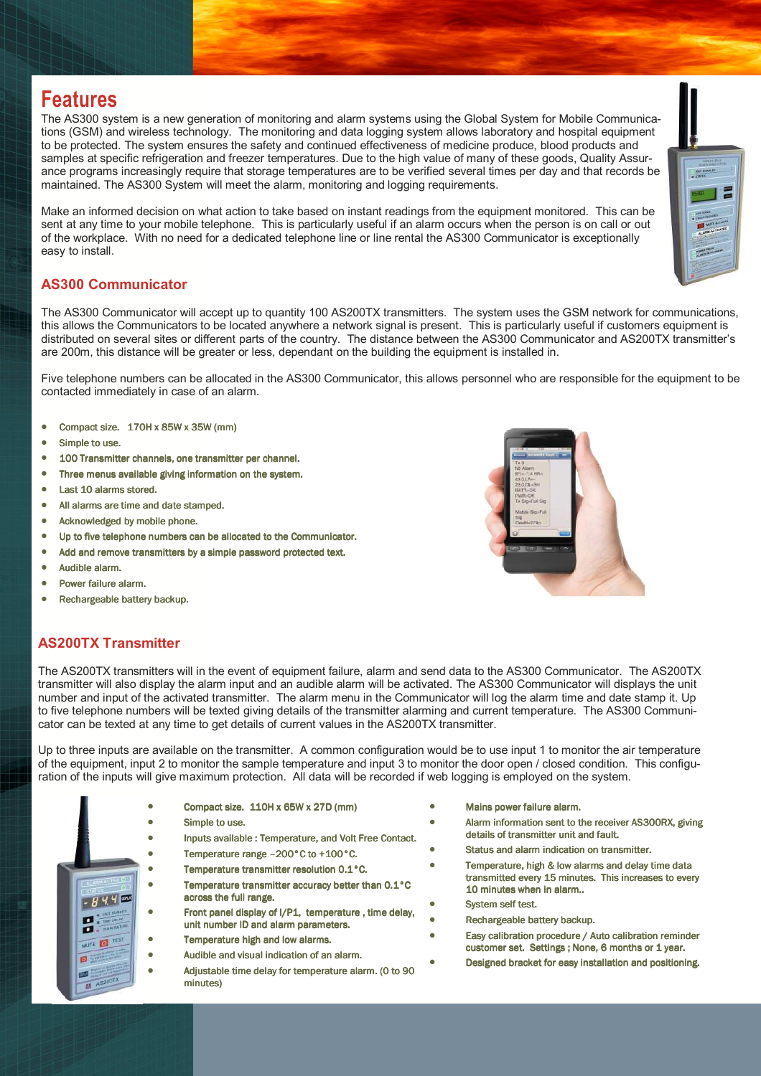## Features

The AS300 system is a new generation of monitoring and alarm systems using the Global System for Mobile Communications (GSM) and wireless technology. The monitoring and data logging system allows laboratory and hospital equipment to be protected. The system ensures the safety and continued effectiveness of medicine produce, blood products and samples at specific refrigeration and freezer temperatures. Due to the high value of many of these goods, Quality Assurance programs increasingly require that storage temperatures are to be verified several times per day and that records be maintained. The AS300 System will meet the alarm, monitoring and logging requirements.

Make an informed decision on what action to take based on instant readings from the equipment monitored. This can be sent at any time to your mobile telephone. This is particularly useful if an alarm occurs when the person is on call or out of the workplace. With no need for a dedicated telephone line or line rental the AS300 Communicator is exceptionally easy to install.

## AS300 Communicator

The AS300 Communicator will accept up to quantity 100 AS200TX transmitters. The system uses the GSM network for communications, this allows the Communicators to be located anywhere a network signal is present. This is particularly useful if customers equipment is distributed on several sites or different parts of the country. The distance between the AS300 Communicator and AS200TX transmitter's are 200m, this distance will be greater or less, dependant on the building the equipment is installed in.

Five telephone numbers can be allocated in the AS300 Communicator, this allows personnel who are responsible for the equipment to be contacted immediately in case of an alarm.

- Compact size.  $170H \times 85W \times 35W$  (mm)
- Simple to use.
- 100 Transmitter channels, one transmitter per channel.
- Three menus available giving information on the system.
- Last 10 alarms stored.
- All alarms are time and date stamped.
- Acknowledged by mobile phone.
- Up to five telephone numbers can be allocated to the Communicator.
- Add and remove transmitters by a simple password protected text.
- Audible alarm.
- Power failure alarm.
- Rechargeable battery backup.



## AS200TX Transmitter

The AS200TX transmitters will in the event of equipment failure, alarm and send data to the AS300 Communicator. The AS200TX transmitter will also display the alarm input and an audible alarm will be activated. The AS300 Communicator will displays the unit number and input of the activated transmitter. The alarm menu in the Communicator will log the alarm time and date stamp it. Up to five telephone numbers will be texted giving details of the transmitter alarming and current temperature. The AS300 Communicator can be texted at any time to get details of current values in the AS200TX transmitter.

Up to three inputs are available on the transmitter. A common configuration would be to use input 1 to monitor the air temperature of the equipment, input 2 to monitor the sample temperature and input 3 to monitor the door open / closed condition. This configuration of the inputs will give maximum protection. All data will be recorded if web logging is employed on the system.



- Compact size. 110H x 65W x 27D (mm)
- Simple to use.
- Inputs available : Temperature, and Volt Free Contact.
- Temperature range –200°C to +100°C.
- Temperature transmitter resolution 0.1°C. • Temperature transmitter accuracy better than 0.1°C across the full range.
- Front panel display of I/P1, temperature , time delay, unit number ID and alarm parameters.
- Temperature high and low alarms.
- Audible and visual indication of an alarm.
- Adjustable time delay for temperature alarm. (0 to 90 minutes)
- Mains power failure alarm.
- Alarm information sent to the receiver AS300RX, giving details of transmitter unit and fault.
- Status and alarm indication on transmitter.
	- Temperature, high & low alarms and delay time data transmitted every 15 minutes. This increases to every 10 minutes when in alarm...
- System self test.
- Rechargeable battery backup.
- Easy calibration procedure / Auto calibration reminder customer set. Settings ; None, 6 months or 1 year.
	- Designed bracket for easy installation and positioning.

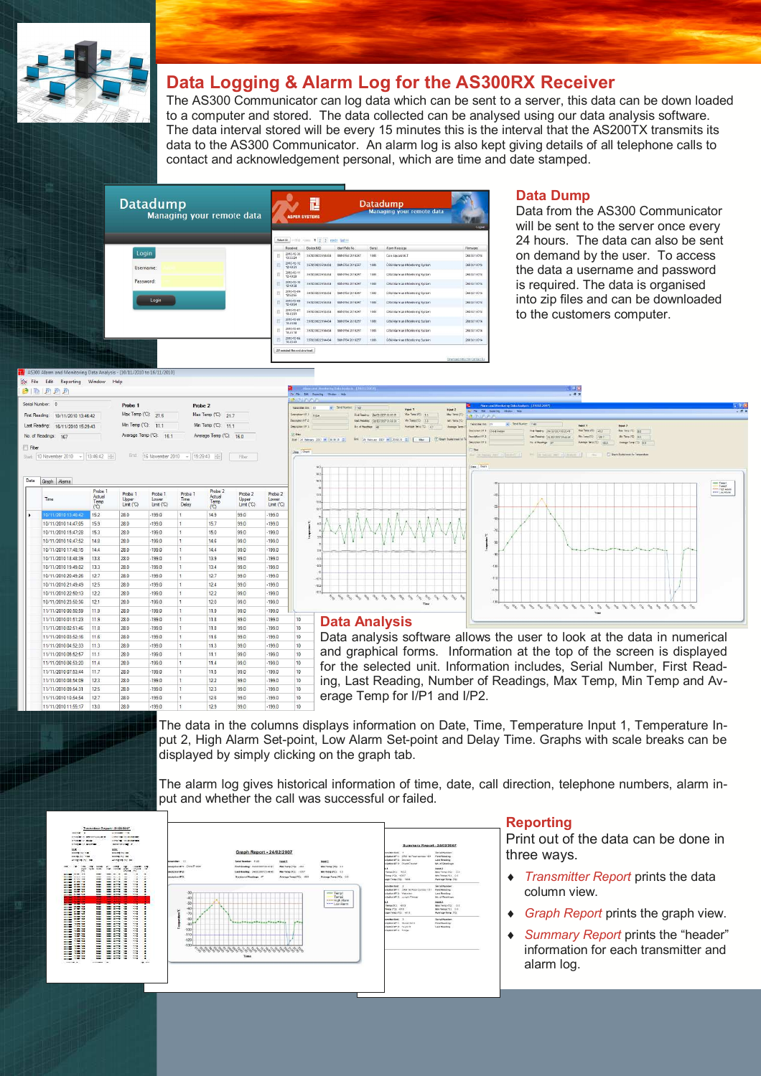

## Data Logging & Alarm Log for the AS300RX Receiver

The AS300 Communicator can log data which can be sent to a server, this data can be down loaded to a computer and stored. The data collected can be analysed using our data analysis software. The data interval stored will be every 15 minutes this is the interval that the AS200TX transmits its data to the AS300 Communicator. An alarm log is also kept giving details of all telephone calls to contact and acknowledgement personal, which are time and date stamped.

|                                         |                        |                 |                        |       |                                   | Logout                                              |
|-----------------------------------------|------------------------|-----------------|------------------------|-------|-----------------------------------|-----------------------------------------------------|
| Select AL<br>that come 1 2 3 mode tasks |                        |                 |                        |       |                                   |                                                     |
|                                         | Received               | Deston IMPS     | Ident-Tele No.         | Sweet | Harm Message                      | Ferrasse                                            |
|                                         | 2010-12-30<br>13:35:24 | 357820022514434 | Sat 6784 2016257       | 1009  | Geo. square ULT                   | 2683U1V014                                          |
|                                         | 2010-12-12<br>12:49:31 | 157820022514434 | 882 8784 2016257       | 1009  | GSM Alarm and thordoning System   | 2683U1V014                                          |
|                                         | 2010-12-11<br>12:49:20 | 357820022514434 | SM 0784 2016257        | 1000  | GSM Alarm and Monitoring System   | 2683U1V014                                          |
|                                         | 2010-12-10<br>12:49:38 | 357820022514434 | SW 0784 2016257        | 1009  | GSM Alarm and Monitoring System   | 2683U1V014                                          |
|                                         | 2010-12-09<br>125255   | 357820022514434 | <b>BM 0784'2016257</b> | 1005  | Crisis Alarm and Montbring System | 2683U1V014                                          |
|                                         | 2010-12-08<br>12:49:54 | 357820022514434 | SM 0784 2016257        | 1002  | CSILAIsm and Worldom's Sratem     | 2683U1VD14                                          |
|                                         | 2010-12-07<br>10:43:01 | 357820022514434 | S## 6784 2016257       | 1009  | GSM Alarm and Monforing Brotern   | 2683U1V014                                          |
|                                         | 2010-12-00<br>10:43:08 | 357820022514434 | 884 0784 2016257       | 1009  | GSM Alarm and Monitoring System   | 268361V014                                          |
| E                                       | 2010-12-05<br>10:43:18 | 352820022534434 | RNI 6784 2016257       | 1000  | GSM Alarm and Nordonno System.    | 2683U1V014                                          |
|                                         | 2010-12-04<br>10.4243  | 357820022514434 | 8810704 2016257        | 1009  | GSN Alarm and Worlforing System   | 2683U1V014                                          |
|                                         |                        |                 | <b>ASPER SYSTEMS</b>   |       |                                   | <b>Datadump</b><br><b>Managing your remote data</b> |

### Data Dump

Data from the AS300 Communicator will be sent to the server once every 24 hours. The data can also be sent on demand by the user. To access the data a username and password is required. The data is organised into zip files and can be downloaded to the customers computer.

| Serial Number: 0        |                     | Probe 1                  | Probe 2                 |
|-------------------------|---------------------|--------------------------|-------------------------|
| First Reading:          | 10/11/2010 13:46:42 | Max Temp (°C):<br>21.6   | Max Temp (°C): 217      |
| Last Reading:           | 16/11/2010 15:29:43 | Min Temp ('C):<br>111    | Min Temp ('C): 11.1     |
| No. of Readings:        | 167                 | Average Temp (°C): 16.1  | Average Temp (°C): 16.0 |
| Filter                  |                     |                          |                         |
| Start: 10 November 2010 | 13:46:42<br>÷       | End:<br>16 November 2010 | $-$ 15:29:43<br>Fiter   |

|   | Time                | Probe 1<br>Actual<br>Temp<br>(C) | Probe <sub>1</sub><br><b>Upper</b><br>Limit (°C) | Probe 1<br>Lower<br>Limit (°C) | Probe 1<br>Time.<br>Delay | Probe <sub>2</sub><br>Actual<br>Temp<br>(CC) | Probe <sub>2</sub><br>Upper<br>$Limt$ $(C)$ | Probe <sub>2</sub><br>Lower<br>Limit (°C) |              |
|---|---------------------|----------------------------------|--------------------------------------------------|--------------------------------|---------------------------|----------------------------------------------|---------------------------------------------|-------------------------------------------|--------------|
| ۰ | 10/11/2010 13:46:42 | 152                              | 28.0                                             | $-199.0$                       | Ŧ.                        | 149                                          | 990                                         | $-199.0$                                  |              |
|   | 10/11/2010 14:47:05 | 159                              | 280                                              | $-1990$                        | 1                         | 15.7                                         | 990                                         | $-1990$                                   |              |
|   | 10/11/2010 15:47:28 | 153                              | 280                                              | $-199.0$                       | 1                         | 15.0                                         | 99.0                                        | $-199.0$                                  |              |
|   | 10/11/2010 16:47:52 | 14.8                             | 28 D                                             | $-199.0$                       | Ŧ                         | 14.6                                         | 99 D                                        | $-199.0$                                  |              |
|   | 10/11/2010 17:48:15 | 14.4                             | 28.0                                             | $-199.0$                       | Ŧ                         | 14.4                                         | 99.0                                        | $-199.0$                                  |              |
|   | 10/11/2010 18:48:39 | 13.8                             | 28.0                                             | $-199.0$                       | $\mathbf{1}$              | 13.9                                         | 99.0                                        | $-199.0$                                  |              |
|   | 10/11/2010 19:49:02 | 133                              | 28.0                                             | $-199.0$                       | 1                         | 13.4                                         | 99.0                                        | $-199.0$                                  |              |
|   | 10/11/2010 20:49:26 | 127                              | 280                                              | $-1990$                        | $\mathbf{1}$              | 127                                          | 990                                         | $-1990$                                   |              |
|   | 10/11/2010 21:49:49 | 12.5                             | 280                                              | $-199.0$                       | 1                         | 12.4                                         | 990                                         | $-199.0$                                  |              |
|   | 10/11/2010 22:50:13 | 12.2                             | 28.0                                             | $-199.0$                       | 1                         | 12.2                                         | 99.0                                        | $-199.0$                                  |              |
|   | 10/11/2010 23:50:36 | 12.1                             | 28.0                                             | $-199.0$                       | 1                         | 12.0                                         | 99.0                                        | $-199.0$                                  |              |
|   | 11/11/2010 00:50:59 | 119                              | 28.0                                             | $-199.0$                       | ŧ                         | 11.9                                         | 99.0                                        | $-199.0$                                  |              |
|   | 11/11/2010 01:51:23 | 11.9                             | 28.0                                             | $-1990$                        | $\mathbf{1}$              | 11.8                                         | 990                                         | $-199.0$                                  | 10           |
|   | 11/11/2010 02:51:46 | 11.8                             | 28.0                                             | $-199.0$                       | 1                         | 11.8                                         | 99.0                                        | $-199.0$                                  | 10           |
|   | 11/11/2010 03:52:16 | 116                              | 280                                              | $-1990$                        | $\mathbf{1}$              | 11 <sub>6</sub>                              | 990                                         | $-1990$                                   | 10           |
|   | 11/11/2010 04:52:33 | 11.3                             | 28.0                                             | $-199.0$                       | ŧ                         | 11.3                                         | 99.0                                        | $-199.0$                                  | 10           |
|   | 11/11/2010 05:52:57 | 11.1                             | 28.0                                             | $-199.0$                       | 1                         | 11.1                                         | 99.0                                        | $-199.0$                                  | 10           |
|   | 11/11/2010 06:53:20 | 11.4                             | 28.0                                             | $-199.0$                       | $\mathbf{f}$              | 11.4                                         | 99.0                                        | $-199.0$                                  | 10           |
|   | 11/11/2010 07:53:44 | 11.7                             | 28.0                                             | $-199.0$                       | 1                         | 11.5                                         | 990                                         | $-199.0$                                  | 10           |
|   | 11/11/2010 08:54:09 | 12.3                             | 28.0                                             | $-1990$                        | 1                         | 122                                          | 990                                         | $-1990$                                   | $\mathbf{1}$ |
|   | 11/11/2010 09:54:31 | 12.5                             | 280                                              | $-199.0$                       | 1                         | 12.3                                         | 99.0                                        | $-199.0$                                  | 10           |
|   | 11/11/2010 10:54:54 | 12.7                             | 28.0                                             | $-199.0$                       | 1                         | 12.6                                         | 990                                         | $-1990$                                   | 10           |
|   |                     | $\sim$ $-$                       | -- -                                             | $-1$                           |                           | $ -$                                         | $- - -$                                     | $-200$                                    |              |



Data analysis software allows the user to look at the data in numerical and graphical forms. Information at the top of the screen is displayed for the selected unit. Information includes, Serial Number, First Reading, Last Reading, Number of Readings, Max Temp, Min Temp and Average Temp for I/P1 and I/P2.



The data in the columns displays information on Date, Time, Temperature Input 1, Temperature Input 2, High Alarm Set-point, Low Alarm Set-point and Delay Time. Graphs with scale breaks can be displayed by simply clicking on the graph tab.

The alarm log gives historical information of time, date, call direction, telephone numbers, alarm input and whether the call was successful or failed.



## Reporting

Print out of the data can be done in three ways.

- Transmitter Report prints the data column view.
- Graph Report prints the graph view.
- Summary Report prints the "header" information for each transmitter and alarm log.